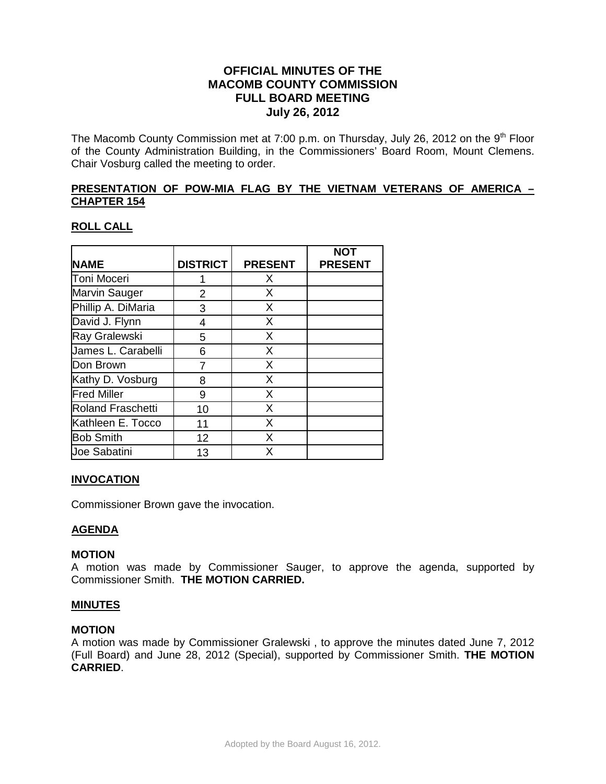# **OFFICIAL MINUTES OF THE MACOMB COUNTY COMMISSION FULL BOARD MEETING July 26, 2012**

The Macomb County Commission met at 7:00 p.m. on Thursday, July 26, 2012 on the 9<sup>th</sup> Floor of the County Administration Building, in the Commissioners' Board Room, Mount Clemens. Chair Vosburg called the meeting to order.

## **PRESENTATION OF POW-MIA FLAG BY THE VIETNAM VETERANS OF AMERICA – CHAPTER 154**

# **ROLL CALL**

|                    |                 |                | <b>NOT</b>     |
|--------------------|-----------------|----------------|----------------|
| <b>NAME</b>        | <b>DISTRICT</b> | <b>PRESENT</b> | <b>PRESENT</b> |
| Toni Moceri        |                 | X              |                |
| Marvin Sauger      | 2               | X              |                |
| Phillip A. DiMaria | 3               | X              |                |
| David J. Flynn     | 4               | X              |                |
| Ray Gralewski      | 5               | X              |                |
| James L. Carabelli | 6               | X              |                |
| Don Brown          |                 | X              |                |
| Kathy D. Vosburg   | 8               | X              |                |
| <b>Fred Miller</b> | 9               | X              |                |
| Roland Fraschetti  | 10              | X              |                |
| Kathleen E. Tocco  | 11              | X              |                |
| <b>Bob Smith</b>   | 12              | X              |                |
| Joe Sabatini       | 13              | X              |                |

### **INVOCATION**

Commissioner Brown gave the invocation.

# **AGENDA**

### **MOTION**

A motion was made by Commissioner Sauger, to approve the agenda, supported by Commissioner Smith. **THE MOTION CARRIED.** 

### **MINUTES**

### **MOTION**

A motion was made by Commissioner Gralewski , to approve the minutes dated June 7, 2012 (Full Board) and June 28, 2012 (Special), supported by Commissioner Smith. **THE MOTION CARRIED**.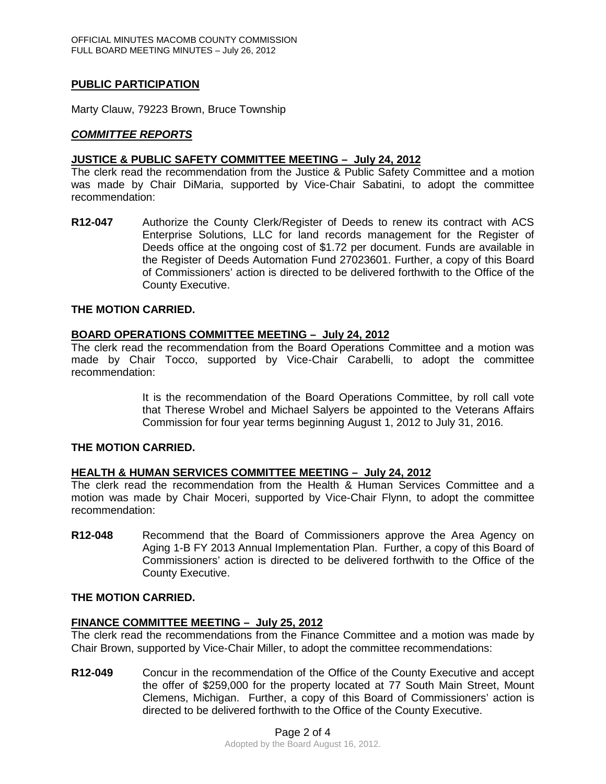# **PUBLIC PARTICIPATION**

Marty Clauw, 79223 Brown, Bruce Township

# *COMMITTEE REPORTS*

# **JUSTICE & PUBLIC SAFETY COMMITTEE MEETING – July 24, 2012**

The clerk read the recommendation from the Justice & Public Safety Committee and a motion was made by Chair DiMaria, supported by Vice-Chair Sabatini, to adopt the committee recommendation:

**R12-047** Authorize the County Clerk/Register of Deeds to renew its contract with ACS Enterprise Solutions, LLC for land records management for the Register of Deeds office at the ongoing cost of \$1.72 per document. Funds are available in the Register of Deeds Automation Fund 27023601. Further, a copy of this Board of Commissioners' action is directed to be delivered forthwith to the Office of the County Executive.

## **THE MOTION CARRIED.**

## **BOARD OPERATIONS COMMITTEE MEETING – July 24, 2012**

The clerk read the recommendation from the Board Operations Committee and a motion was made by Chair Tocco, supported by Vice-Chair Carabelli, to adopt the committee recommendation:

> It is the recommendation of the Board Operations Committee, by roll call vote that Therese Wrobel and Michael Salyers be appointed to the Veterans Affairs Commission for four year terms beginning August 1, 2012 to July 31, 2016.

### **THE MOTION CARRIED.**

### **HEALTH & HUMAN SERVICES COMMITTEE MEETING – July 24, 2012**

The clerk read the recommendation from the Health & Human Services Committee and a motion was made by Chair Moceri, supported by Vice-Chair Flynn, to adopt the committee recommendation:

**R12-048** Recommend that the Board of Commissioners approve the Area Agency on Aging 1-B FY 2013 Annual Implementation Plan. Further, a copy of this Board of Commissioners' action is directed to be delivered forthwith to the Office of the County Executive.

### **THE MOTION CARRIED.**

## **FINANCE COMMITTEE MEETING – July 25, 2012**

The clerk read the recommendations from the Finance Committee and a motion was made by Chair Brown, supported by Vice-Chair Miller, to adopt the committee recommendations:

**R12-049** Concur in the recommendation of the Office of the County Executive and accept the offer of \$259,000 for the property located at 77 South Main Street, Mount Clemens, Michigan. Further, a copy of this Board of Commissioners' action is directed to be delivered forthwith to the Office of the County Executive.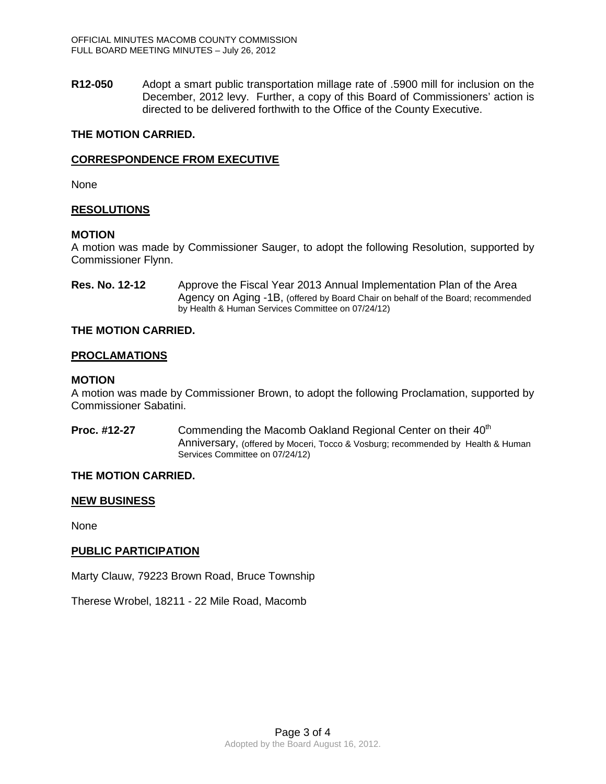**R12-050** Adopt a smart public transportation millage rate of .5900 mill for inclusion on the December, 2012 levy. Further, a copy of this Board of Commissioners' action is directed to be delivered forthwith to the Office of the County Executive.

## **THE MOTION CARRIED.**

# **CORRESPONDENCE FROM EXECUTIVE**

None

## **RESOLUTIONS**

### **MOTION**

A motion was made by Commissioner Sauger, to adopt the following Resolution, supported by Commissioner Flynn.

**Res. No. 12-12** Approve the Fiscal Year 2013 Annual Implementation Plan of the Area Agency on Aging -1B, (offered by Board Chair on behalf of the Board; recommended by Health & Human Services Committee on 07/24/12)

## **THE MOTION CARRIED.**

## **PROCLAMATIONS**

### **MOTION**

A motion was made by Commissioner Brown, to adopt the following Proclamation, supported by Commissioner Sabatini.

**Proc. #12-27** Commending the Macomb Oakland Regional Center on their 40<sup>th</sup> Anniversary, (offered by Moceri, Tocco & Vosburg; recommended by Health & Human Services Committee on 07/24/12)

# **THE MOTION CARRIED.**

### **NEW BUSINESS**

None

# **PUBLIC PARTICIPATION**

Marty Clauw, 79223 Brown Road, Bruce Township

Therese Wrobel, 18211 - 22 Mile Road, Macomb